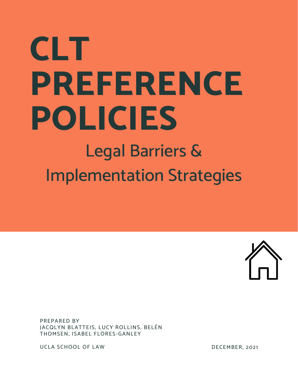# **CLT PREFERENCE POLICIES** Legal Barriers &

Implementation Strategies



PREPARED BY JACQLYN BLATTEIS, LUCY ROLLINS, BELÉN THOMSEN, ISABEL FLORES-GANLEY

UCLA SCHOOL OF LAW

DECEMBER, 2021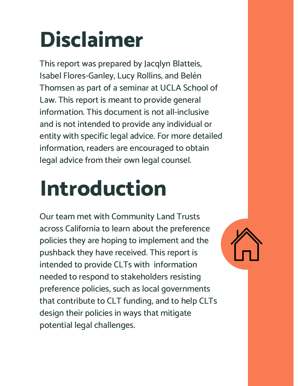## **Disclaimer**

This report was prepared by Jacqlyn Blatteis, Isabel Flores-Ganley, Lucy Rollins, and Belén Thomsen as part of a seminar at UCLA School of Law. This report is meant to provide general information. This document is not all-inclusive and is not intended to provide any individual or entity with specific legal advice. For more detailed information, readers are encouraged to obtain legal advice from their own legal counsel.

## **Introduction**

Our team met with Community Land Trusts across California to learn about the preference policies they are hoping to implement and the pushback they have received. This report is intended to provide CLTs with information needed to respond to stakeholders resisting preference policies, such as local governments that contribute to CLT funding, and to help CLTs design their policies in ways that mitigate potential legal challenges.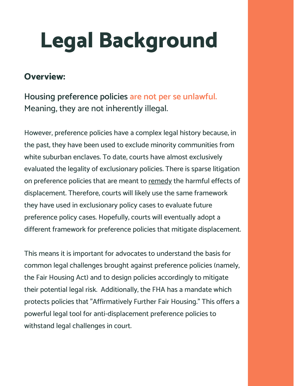#### **Overview:**

**Housing preference policies are not per se unlawful.** Meaning, they are not inherently illegal.

However, preference policies have a complex legal history because, in the past, they have been used to exclude minority communities from white suburban enclaves. To date, courts have almost exclusively evaluated the legality of exclusionary policies. There is sparse litigation on preference policies that are meant to remedy the harmful effects of displacement. Therefore, courts will likely use the same framework they have used in exclusionary policy cases to evaluate future preference policy cases. Hopefully, courts will eventually adopt a different framework for preference policies that mitigate displacement.

This means it is important for advocates to understand the basis for common legal challenges brought against preference policies (namely, the Fair Housing Act) and to design policies accordingly to mitigate their potential legal risk. Additionally, the FHA has a mandate which protects policies that "Affirmatively Further Fair Housing." This offers a powerful legal tool for anti-displacement preference policies to withstand legal challenges in court.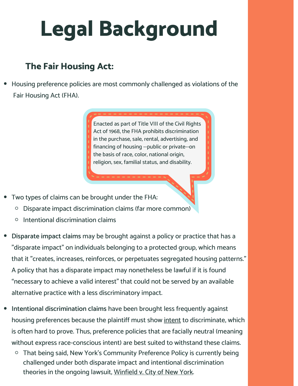#### **The Fair Housing Act:**

Housing preference policies are most commonly challenged as violations of the Fair Housing Act (FHA).

> Enacted as part of Title VIII of the Civil Rights Act of 1968, the FHA prohibits discrimination in the purchase, sale, rental, advertising, and financing of housing --public or private--on the basis of race, color, national origin, religion, sex, familial status, and disability.

- Two types of claims can be brought under the FHA:
	- Disparate impact discrimination claims (far more common)  $\circ$
	- Intentional discrimination claims  $\circ$
- **Disparate impact claims** may be brought against a policy or practice that has a "disparate impact" on individuals belonging to a protected group, which means that it "creates, increases, reinforces, or perpetuates segregated housing patterns." A policy that has a disparate impact may nonetheless be lawful if it is found "necessary to achieve a valid interest" that could not be served by an available alternative practice with a less discriminatory impact.
- **Intentional discrimination claims** have been brought less frequently against housing preferences because the plaintiff must show intent to discriminate, which is often hard to prove. Thus, preference policies that are facially neutral (meaning without express race-conscious intent) are best suited to withstand these claims.
	- That being said, New York's Community Preference Policy is currently being challenged under both disparate impact and intentional discrimination theories in the ongoing lawsuit, Winfield v. City of New York.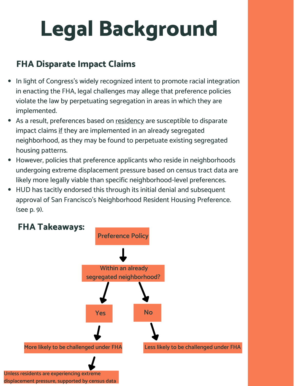#### **FHA Disparate Impact Claims**

- In light of Congress's widely recognized intent to promote racial integration in enacting the FHA, legal challenges may allege that preference policies violate the law by perpetuating segregation in areas in which they are implemented.
- As a result, preferences based on residency are susceptible to disparate impact claims if they are implemented in an already segregated neighborhood, as they may be found to perpetuate existing segregated housing patterns.
- However, policies that preference applicants who reside in neighborhoods undergoing extreme displacement pressure based on census tract data are likely more legally viable than specific neighborhood-level preferences.
- HUD has tacitly endorsed this through its initial denial and subsequent approval of San Francisco's Neighborhood Resident Housing Preference. (see p. 9).



**displacement pressure, supported by census data**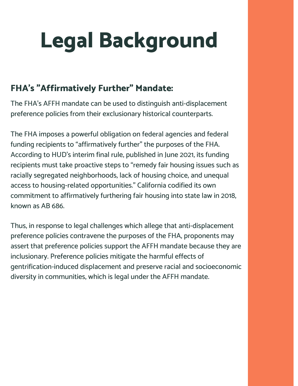#### **FHA's "Affirmatively Further" Mandate:**

The FHA's AFFH mandate can be used to distinguish anti-displacement preference policies from their exclusionary historical counterparts.

The FHA imposes a powerful obligation on federal agencies and federal funding recipients to "affirmatively further" the purposes of the FHA. According to HUD's interim final rule, published in June 2021, its funding recipients must take proactive steps to "remedy fair housing issues such as racially segregated neighborhoods, lack of housing choice, and unequal access to housing-related opportunities." California codified its own commitment to affirmatively furthering fair housing into state law in 2018, known as AB 686.

Thus, in response to legal challenges which allege that anti-displacement preference policies contravene the purposes of the FHA, proponents may assert that preference policies support the AFFH mandate because they are inclusionary. Preference policies mitigate the harmful effects of gentrification-induced displacement and preserve racial and socioeconomic diversity in communities, which is legal under the AFFH mandate.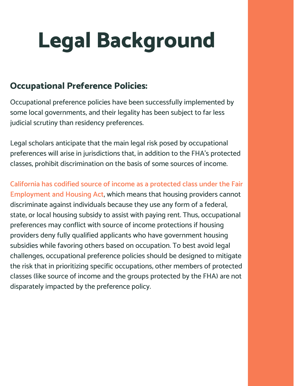#### **Occupational Preference Policies:**

Occupational preference policies have been successfully implemented by some local governments, and their legality has been subject to far less judicial scrutiny than residency preferences.

Legal scholars anticipate that the main legal risk posed by occupational preferences will arise in jurisdictions that, in addition to the FHA's protected classes, prohibit discrimination on the basis of some sources of income.

**California has codified source of income as a protected class under the Fair Employment and Housing Act**, which means that housing providers cannot discriminate against individuals because they use any form of a federal, state, or local housing subsidy to assist with paying rent. Thus, occupational preferences may conflict with source of income protections if housing providers deny fully qualified applicants who have government housing subsidies while favoring others based on occupation. To best avoid legal challenges, occupational preference policies should be designed to mitigate the risk that in prioritizing specific occupations, other members of protected classes (like source of income and the groups protected by the FHA) are not disparately impacted by the preference policy.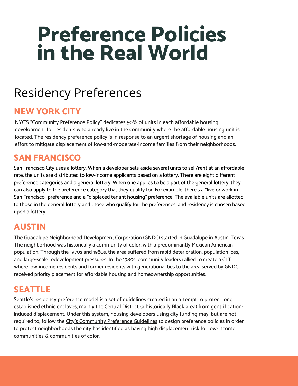## **Preference Policies in the Real World**

### Residency Preferences

#### **NEW YORK CITY**

NYC'S "Community Preference Policy" dedicates 50% of units in each affordable housing development for residents who already live in the community where the affordable housing unit is located. The residency preference policy is in response to an urgent shortage of housing and an effort to mitigate displacement of low-and-moderate-income families from their neighborhoods.

#### **SAN FRANCISCO**

San Francisco City uses a lottery. When a developer sets aside several units to sell/rent at an affordable rate, the units are distributed to low-income applicants based on a lottery. There are eight different preference categories and a general lottery. When one applies to be a part of the general lottery, they can also apply to the preference category that they qualify for. For example, there's a "live or work in San Francisco" preference and a "displaced tenant housing" preference. The available units are allotted to those in the general lottery and those who qualify for the preferences, and residency is chosen based upon a lottery.

#### **AUSTIN**

The Guadalupe Neighborhood Development Corporation (GNDC) started in Guadalupe in Austin, Texas. The neighborhood was historically a community of color, with a predominantly Mexican American population. Through the 1970s and 1980s, the area suffered from rapid deterioration, population loss, and large-scale redevelopment pressures. In the 1980s, community leaders rallied to create a CLT where low-income residents and former residents with generational ties to the area served by GNDC received priority placement for affordable housing and homeownership opportunities.

#### **SEATTLE**

Seattle's residency preference model is a set of guidelines created in an attempt to protect long established ethnic enclaves, mainly the Central District (a historically Black area) from gentrificationinduced displacement. Under this system, housing developers using city funding may, but are not required to, follow the City's [Community](https://www.seattle.gov/Documents/Departments/Housing/Programs%20and%20Initiatives/Community%20Preference/Community%20Preference%20Guideline.pdf) Preference Guidelines to design preference policies in order to protect neighborhoods the city has identified as having high displacement risk for low-income communities & communities of color.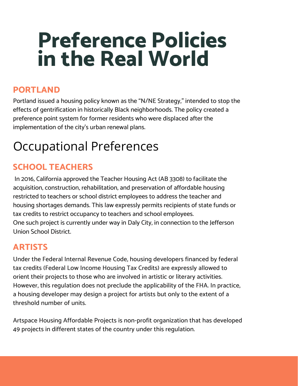## **Preference Policies in the Real World**

#### **PORTLAND**

Portland issued a housing policy known as the "N/NE Strategy," intended to stop the effects of gentrification in historically Black neighborhoods. The policy created a preference point system for former residents who were displaced after the implementation of the city's urban renewal plans.

## Occupational Preferences

#### **SCHOOL TEACHERS**

In 2016, California approved the Teacher Housing Act (AB 3308) to facilitate the acquisition, construction, rehabilitation, and preservation of affordable housing restricted to teachers or school district employees to address the teacher and housing shortages demands. This law expressly permits recipients of state funds or tax credits to restrict occupancy to teachers and school employees. One such project is currently under way in Daly City, in connection to the Jefferson Union School District.

#### **ARTISTS**

Under the Federal Internal Revenue Code, housing developers financed by federal tax credits (Federal Low Income Housing Tax Credits) are expressly allowed to orient their projects to those who are involved in artistic or literary activities. However, this regulation does not preclude the applicability of the FHA. In practice, a housing developer may design a project for artists but only to the extent of a threshold number of units.

Artspace Housing Affordable Projects is non-profit organization that has developed 49 projects in different states of the country under this regulation.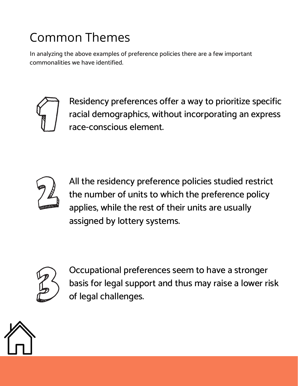## Common Themes

In analyzing the above examples of preference policies there are a few important commonalities we have identified.



Residency preferences offer a way to prioritize specific racial demographics, without incorporating an express race-conscious element.



All the residency preference policies studied restrict the number of units to which the preference policy applies, while the rest of their units are usually assigned by lottery systems.



Occupational preferences seem to have a stronger basis for legal support and thus may raise a lower risk of legal challenges.

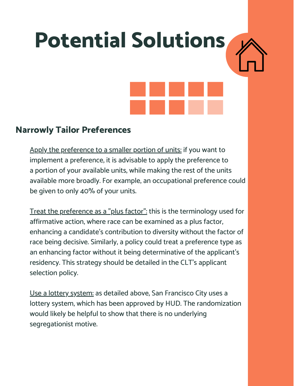# **Potential Solutions**

#### **Narrowly Tailor Preferences**

Apply the preference to a smaller portion of units: if you want to implement a preference, it is advisable to apply the preference to a portion of your available units, while making the rest of the units available more broadly. For example, an occupational preference could be given to only 40% of your units.

Treat the preference as a "plus factor": this is the terminology used for affirmative action, where race can be examined as a plus factor, enhancing a candidate's contribution to diversity without the factor of race being decisive. Similarly, a policy could treat a preference type as an enhancing factor without it being determinative of the applicant's residency. This strategy should be detailed in the CLT's applicant selection policy.

Use a lottery system: as detailed above, San Francisco City uses a lottery system, which has been approved by HUD. The randomization would likely be helpful to show that there is no underlying segregationist motive.